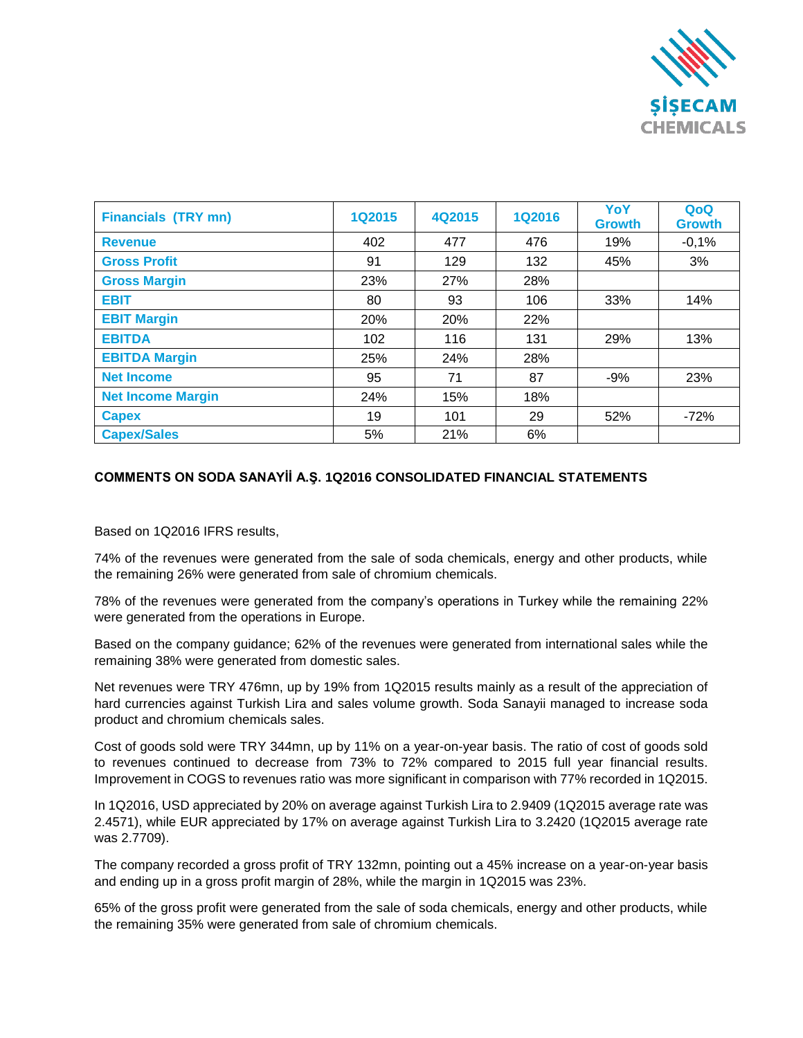

| <b>Financials (TRY mn)</b> | 1Q2015 | 4Q2015 | <b>1Q2016</b> | YoY<br><b>Growth</b> | QoQ<br><b>Growth</b> |
|----------------------------|--------|--------|---------------|----------------------|----------------------|
| <b>Revenue</b>             | 402    | 477    | 476           | 19%                  | $-0,1%$              |
| <b>Gross Profit</b>        | 91     | 129    | 132           | 45%                  | 3%                   |
| <b>Gross Margin</b>        | 23%    | 27%    | 28%           |                      |                      |
| <b>EBIT</b>                | 80     | 93     | 106           | 33%                  | 14%                  |
| <b>EBIT Margin</b>         | 20%    | 20%    | 22%           |                      |                      |
| <b>EBITDA</b>              | 102    | 116    | 131           | 29%                  | 13%                  |
| <b>EBITDA Margin</b>       | 25%    | 24%    | 28%           |                      |                      |
| <b>Net Income</b>          | 95     | 71     | 87            | $-9%$                | 23%                  |
| <b>Net Income Margin</b>   | 24%    | 15%    | 18%           |                      |                      |
| <b>Capex</b>               | 19     | 101    | 29            | 52%                  | $-72%$               |
| <b>Capex/Sales</b>         | 5%     | 21%    | 6%            |                      |                      |

## **COMMENTS ON SODA SANAYİİ A.Ş. 1Q2016 CONSOLIDATED FINANCIAL STATEMENTS**

Based on 1Q2016 IFRS results,

74% of the revenues were generated from the sale of soda chemicals, energy and other products, while the remaining 26% were generated from sale of chromium chemicals.

78% of the revenues were generated from the company's operations in Turkey while the remaining 22% were generated from the operations in Europe.

Based on the company guidance; 62% of the revenues were generated from international sales while the remaining 38% were generated from domestic sales.

Net revenues were TRY 476mn, up by 19% from 1Q2015 results mainly as a result of the appreciation of hard currencies against Turkish Lira and sales volume growth. Soda Sanayii managed to increase soda product and chromium chemicals sales.

Cost of goods sold were TRY 344mn, up by 11% on a year-on-year basis. The ratio of cost of goods sold to revenues continued to decrease from 73% to 72% compared to 2015 full year financial results. Improvement in COGS to revenues ratio was more significant in comparison with 77% recorded in 1Q2015.

In 1Q2016, USD appreciated by 20% on average against Turkish Lira to 2.9409 (1Q2015 average rate was 2.4571), while EUR appreciated by 17% on average against Turkish Lira to 3.2420 (1Q2015 average rate was 2.7709).

The company recorded a gross profit of TRY 132mn, pointing out a 45% increase on a year-on-year basis and ending up in a gross profit margin of 28%, while the margin in 1Q2015 was 23%.

65% of the gross profit were generated from the sale of soda chemicals, energy and other products, while the remaining 35% were generated from sale of chromium chemicals.